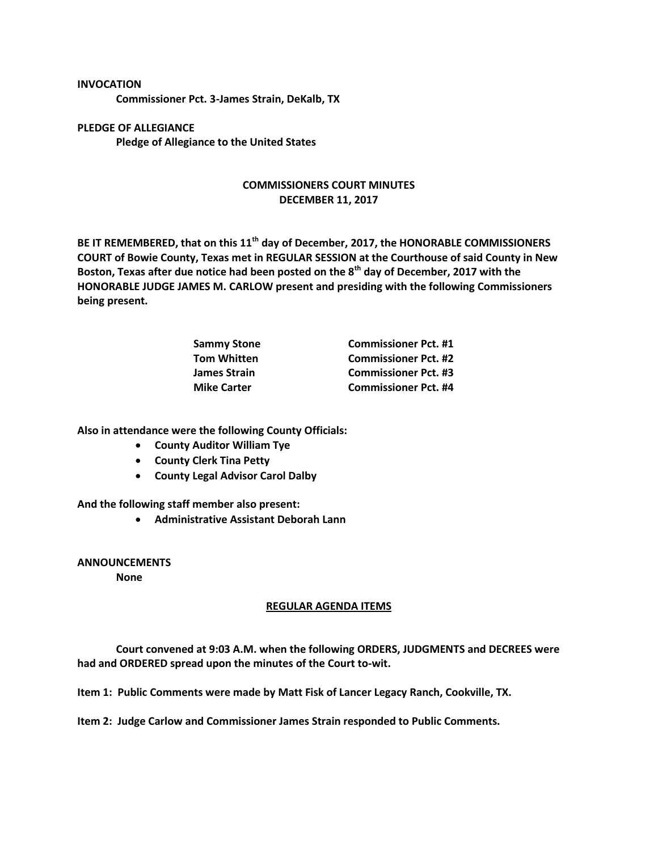## **INVOCATION**

**Commissioner Pct. 3-James Strain, DeKalb, TX**

**PLEDGE OF ALLEGIANCE Pledge of Allegiance to the United States**

## **COMMISSIONERS COURT MINUTES DECEMBER 11, 2017**

**BE IT REMEMBERED, that on this 11th day of December, 2017, the HONORABLE COMMISSIONERS COURT of Bowie County, Texas met in REGULAR SESSION at the Courthouse of said County in New Boston, Texas after due notice had been posted on the 8th day of December, 2017 with the HONORABLE JUDGE JAMES M. CARLOW present and presiding with the following Commissioners being present.**

| <b>Sammy Stone</b> | <b>Commissioner Pct. #1</b> |
|--------------------|-----------------------------|
| <b>Tom Whitten</b> | <b>Commissioner Pct. #2</b> |
| James Strain       | <b>Commissioner Pct. #3</b> |
| <b>Mike Carter</b> | <b>Commissioner Pct. #4</b> |

**Also in attendance were the following County Officials:**

- **County Auditor William Tye**
- **County Clerk Tina Petty**
- **County Legal Advisor Carol Dalby**

**And the following staff member also present:**

**Administrative Assistant Deborah Lann**

**ANNOUNCEMENTS**

**None**

## **REGULAR AGENDA ITEMS**

**Court convened at 9:03 A.M. when the following ORDERS, JUDGMENTS and DECREES were had and ORDERED spread upon the minutes of the Court to-wit.**

**Item 1: Public Comments were made by Matt Fisk of Lancer Legacy Ranch, Cookville, TX.**

**Item 2: Judge Carlow and Commissioner James Strain responded to Public Comments.**